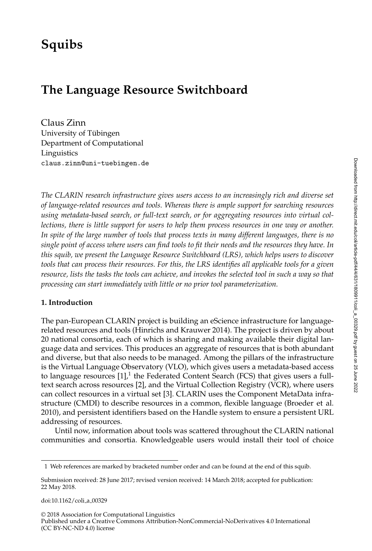# <span id="page-0-1"></span>**Squibs**

# **The Language Resource Switchboard**

Claus Zinn University of Tubingen ¨ Department of Computational Linguistics claus.zinn@uni-tuebingen.de

*The CLARIN research infrastructure gives users access to an increasingly rich and diverse set of language-related resources and tools. Whereas there is ample support for searching resources using metadata-based search, or full-text search, or for aggregating resources into virtual collections, there is little support for users to help them process resources in one way or another. In spite of the large number of tools that process texts in many different languages, there is no single point of access where users can find tools to fit their needs and the resources they have. In this squib, we present the Language Resource Switchboard (LRS), which helps users to discover tools that can process their resources. For this, the LRS identifies all applicable tools for a given resource, lists the tasks the tools can achieve, and invokes the selected tool in such a way so that processing can start immediately with little or no prior tool parameterization.*

# **1. Introduction**

The pan-European CLARIN project is building an eScience infrastructure for languagerelated resources and tools (Hinrichs and Krauwer 2014). The project is driven by about 20 national consortia, each of which is sharing and making available their digital language data and services. This produces an aggregate of resources that is both abundant and diverse, but that also needs to be managed. Among the pillars of the infrastructure is the Virtual Language Observatory (VLO), which gives users a metadata-based access to language resources [[1](#page-0-0)], $^1$  the Federated Content Search (FCS) that gives users a fulltext search across resources [2], and the Virtual Collection Registry (VCR), where users can collect resources in a virtual set [3]. CLARIN uses the Component MetaData infrastructure (CMDI) to describe resources in a common, flexible language (Broeder et al. 2010), and persistent identifiers based on the Handle system to ensure a persistent URL addressing of resources.

Until now, information about tools was scattered throughout the CLARIN national communities and consortia. Knowledgeable users would install their tool of choice

<span id="page-0-0"></span><sup>1</sup> Web references are marked by bracketed number order and can be found at the end of this squib.

Submission received: 28 June 2017; revised version received: 14 March 2018; accepted for publication: 22 May 2018.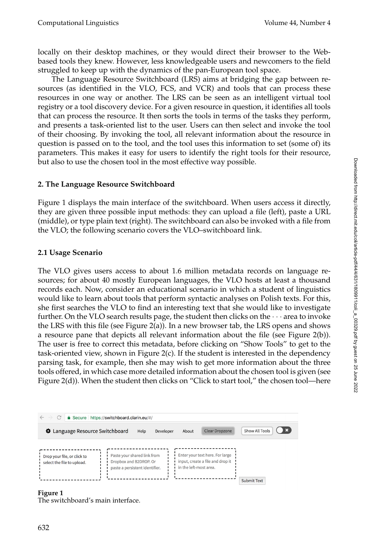locally on their desktop machines, or they would direct their browser to the Webbased tools they knew. However, less knowledgeable users and newcomers to the field struggled to keep up with the dynamics of the pan-European tool space.

The Language Resource Switchboard (LRS) aims at bridging the gap between resources (as identified in the VLO, FCS, and VCR) and tools that can process these resources in one way or another. The LRS can be seen as an intelligent virtual tool registry or a tool discovery device. For a given resource in question, it identifies all tools that can process the resource. It then sorts the tools in terms of the tasks they perform, and presents a task-oriented list to the user. Users can then select and invoke the tool of their choosing. By invoking the tool, all relevant information about the resource in question is passed on to the tool, and the tool uses this information to set (some of) its parameters. This makes it easy for users to identify the right tools for their resource, but also to use the chosen tool in the most effective way possible.

## **2. The Language Resource Switchboard**

Figure [1](#page-1-0) displays the main interface of the switchboard. When users access it directly, they are given three possible input methods: they can upload a file (left), paste a URL (middle), or type plain text (right). The switchboard can also be invoked with a file from the VLO; the following scenario covers the VLO–switchboard link.

# **2.1 Usage Scenario**

The VLO gives users access to about 1.6 million metadata records on language resources; for about 40 mostly European languages, the VLO hosts at least a thousand records each. Now, consider an educational scenario in which a student of linguistics would like to learn about tools that perform syntactic analyses on Polish texts. For this, she first searches the VLO to find an interesting text that she would like to investigate further. On the VLO search results page, the student then clicks on the  $\cdots$  area to invoke the LRS with this file (see Figure [2\(](#page-2-0)a)). In a new browser tab, the LRS opens and shows a resource pane that depicts all relevant information about the file (see Figure [2\(](#page-2-0)b)). The user is free to correct this metadata, before clicking on "Show Tools" to get to the task-oriented view, shown in Figure [2\(](#page-2-0)c). If the student is interested in the dependency parsing task, for example, then she may wish to get more information about the three tools offered, in which case more detailed information about the chosen tool is given (see Figure [2\(](#page-2-0)d)). When the student then clicks on "Click to start tool," the chosen tool—here



<span id="page-1-0"></span>**Figure 1** The switchboard's main interface.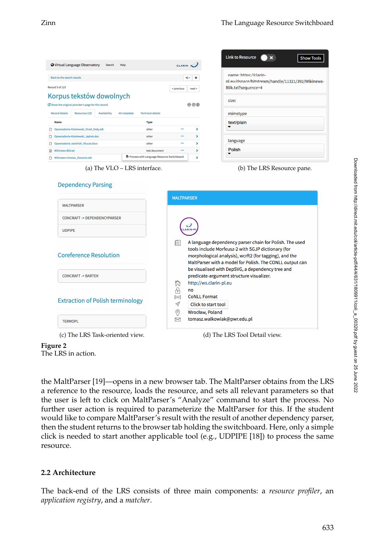|                                                   | <b>Wirtual Language Observatory</b>     | Search       |       | Help         |                                            | <b>CLARIN</b> |         |  |
|---------------------------------------------------|-----------------------------------------|--------------|-------|--------------|--------------------------------------------|---------------|---------|--|
|                                                   | Back to the search results              |              |       |              |                                            |               | e.<br>0 |  |
| Record 5 of 123<br>< previous                     |                                         |              |       |              |                                            |               | next    |  |
| Korpus tekstów dowolnych                          |                                         |              |       |              |                                            |               |         |  |
| Show the original provider's page for this record |                                         |              |       |              |                                            |               | @ @ @   |  |
| <b>Record details</b>                             | Resources (10)                          | Availability |       | All metadata | <b>Technical details</b>                   |               |         |  |
| Name                                              |                                         |              |       |              | <b>Type</b>                                |               |         |  |
|                                                   | Opowiadania-Kisielewski_Orzeł_biały.odt |              | other |              |                                            |               |         |  |
| r                                                 | Opowiadania-Kisielewski_Jędrek.doc      |              | other |              |                                            |               |         |  |
|                                                   | Opowiadania-Jasieński Klucze.docx       |              |       |              | other                                      |               |         |  |
| 冏                                                 | Wikinews-Blik.txt                       |              |       |              | text document                              | $\cdots$      |         |  |
|                                                   | Wikinews-Umowa Zlecenie.odt             |              |       |              | Process with Language Resource Switchboard |               |         |  |

| <b>Link to Resource</b><br><b>Show Tools</b><br>×                                                 |
|---------------------------------------------------------------------------------------------------|
| name: https://clarin-<br>nl.eu/dsnace/bitstream/handle/11321/392/Wikinews-<br>Blik.txt?sequence=4 |
| size:                                                                                             |
| mimetype<br>text/plain                                                                            |
| language<br>Polish                                                                                |

(a) The VLO – LRS interface. (b) The LRS Resource pane.

|                                         | <b>MALTPARSER</b>                                                                                                                                                                                                                        |  |  |
|-----------------------------------------|------------------------------------------------------------------------------------------------------------------------------------------------------------------------------------------------------------------------------------------|--|--|
| <b>MALTPARSER</b>                       |                                                                                                                                                                                                                                          |  |  |
| CONCRAFT -> DEPENDENCYPARSER            |                                                                                                                                                                                                                                          |  |  |
| <b>UDPIPE</b>                           | <b>LARIN-P</b>                                                                                                                                                                                                                           |  |  |
| <b>Coreference Resolution</b>           | A language dependency parser chain for Polish. The used<br>佢<br>tools include Morfeusz-2 with SGJP dictionary (for<br>morphological analysis), wcrft2 (for tagging), and the<br>MaltParser with a model for Polish. The CONLL output can |  |  |
| <b>CONCRAFT -&gt; BARTEK</b>            | be visualised with DepSVG, a dependency tree and<br>predicate-argument structure visualizer.                                                                                                                                             |  |  |
| <b>Extraction of Polish terminology</b> | ħ<br>http://ws.clarin-pl.eu<br>ਜ਼ਿ<br>no<br><b>CoNLL Format</b><br>向前<br>-1<br>Click to start tool<br>⊚<br>Wrocław, Poland                                                                                                               |  |  |
| <b>TERMOPL</b>                          | tomasz.walkowiak@pwr.edu.pl<br>⊠                                                                                                                                                                                                         |  |  |
| (c) The LRS Task-oriented view.         | (d) The LRS Tool Detail view.                                                                                                                                                                                                            |  |  |

<span id="page-2-0"></span>

**Denendency Parsing** 

the MaltParser [19]—opens in a new browser tab. The MaltParser obtains from the LRS a reference to the resource, loads the resource, and sets all relevant parameters so that the user is left to click on MaltParser's "Analyze" command to start the process. No further user action is required to parameterize the MaltParser for this. If the student would like to compare MaltParser's result with the result of another dependency parser, then the student returns to the browser tab holding the switchboard. Here, only a simple click is needed to start another applicable tool (e.g., UDPIPE [18]) to process the same resource.

# **2.2 Architecture**

The back-end of the LRS consists of three main components: a *resource profiler*, an *application registry*, and a *matcher*.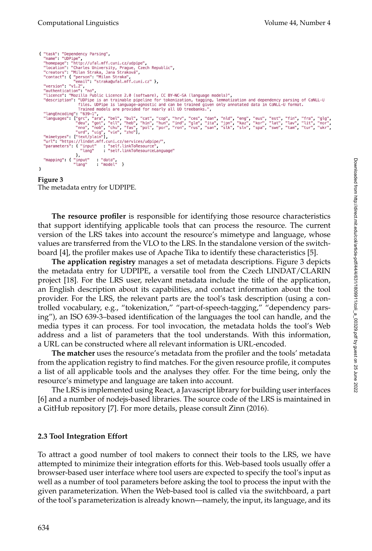```
{ "task": "Dependency Parsing",<br>"name": "UDPipe",<br>"homepage": "http://ufal.mff.cuni.cz/udpipe",<br>"location": "Charles University, Prague, Czech Republic",<br>"creators": "Milan Straka, Jana Straková",<br>"contact": { "person": "M
 "contact": { "person": "Milan Straka",<br>"contact": { "person": "Milan Straka",<br>"email": "straka@ufal.mff.cuni.cz" },
"email": "straka@ufal.mff.cuni.cz" },<br>"wrsion": "v1.2", "email": "straka@ufal.mff.cuni.cz" },<br>"iutence": "Mozilla Public Licence 2.0 (software), CC BY-NC-SA (language models)",<br>"Issecription": "OPPipe is an trainable pipel
"langEncoding": "Faind models are provided for nearly all UD treebanks.",<br>"languages": ["grc", "ara", "bel", "cat", "cop", "hrv", "ces", "dan", "nld", "eng", "eus", "est", "fin", "fra", "glg",<br>"languages": ["grc", "ara", "
 "Lang"<br>"mapping": { "input"<br>"lang"<br>"lang"
                                                    "data",<br>"model" }
```
#### **Figure 3**

<span id="page-3-0"></span>The metadata entry for UDPIPE.

**The resource profiler** is responsible for identifying those resource characteristics that support identifying applicable tools that can process the resource. The current version of the LRS takes into account the resource's mimetype and language, whose values are transferred from the VLO to the LRS. In the standalone version of the switchboard [4], the profiler makes use of Apache Tika to identify these characteristics [5].

**The application registry** manages a set of metadata descriptions. Figure [3](#page-3-0) depicts the metadata entry for UDPIPE, a versatile tool from the Czech LINDAT/CLARIN project [18]. For the LRS user, relevant metadata include the title of the application, an English description about its capabilities, and contact information about the tool provider. For the LRS, the relevant parts are the tool's task description (using a controlled vocabulary, e.g., "tokenization," "part-of-speech-tagging," "dependency parsing"), an ISO 639-3–based identification of the languages the tool can handle, and the media types it can process. For tool invocation, the metadata holds the tool's Web address and a list of parameters that the tool understands. With this information, a URL can be constructed where all relevant information is URL-encoded.

**The matcher** uses the resource's metadata from the profiler and the tools' metadata from the application registry to find matches. For the given resource profile, it computes a list of all applicable tools and the analyses they offer. For the time being, only the resource's mimetype and language are taken into account.

The LRS is implemented using React, a Javascript library for building user interfaces [6] and a number of nodejs-based libraries. The source code of the LRS is maintained in a GitHub repository [7]. For more details, please consult [Zinn \(2016\)](#page-0-1).

### **2.3 Tool Integration Effort**

To attract a good number of tool makers to connect their tools to the LRS, we have attempted to minimize their integration efforts for this. Web-based tools usually offer a browser-based user interface where tool users are expected to specify the tool's input as well as a number of tool parameters before asking the tool to process the input with the given parameterization. When the Web-based tool is called via the switchboard, a part of the tool's parameterization is already known—namely, the input, its language, and its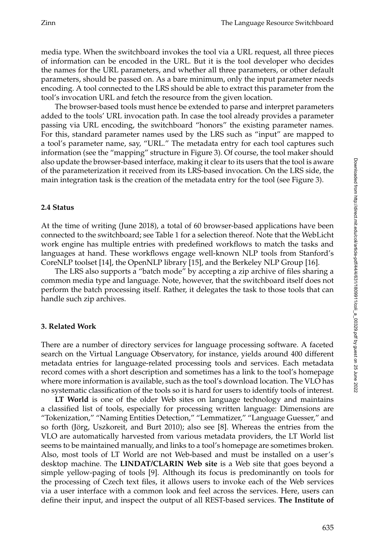media type. When the switchboard invokes the tool via a URL request, all three pieces of information can be encoded in the URL. But it is the tool developer who decides the names for the URL parameters, and whether all three parameters, or other default parameters, should be passed on. As a bare minimum, only the input parameter needs encoding. A tool connected to the LRS should be able to extract this parameter from the tool's invocation URL and fetch the resource from the given location.

The browser-based tools must hence be extended to parse and interpret parameters added to the tools' URL invocation path. In case the tool already provides a parameter passing via URL encoding, the switchboard "honors" the existing parameter names. For this, standard parameter names used by the LRS such as "input" are mapped to a tool's parameter name, say, "URL." The metadata entry for each tool captures such information (see the "mapping" structure in Figure [3\)](#page-3-0). Of course, the tool maker should also update the browser-based interface, making it clear to its users that the tool is aware of the parameterization it received from its LRS-based invocation. On the LRS side, the main integration task is the creation of the metadata entry for the tool (see Figure [3\)](#page-3-0).

### **2.4 Status**

At the time of writing (June 2018), a total of 60 browser-based applications have been connected to the switchboard; see Table [1](#page-5-0) for a selection thereof. Note that the WebLicht work engine has multiple entries with predefined workflows to match the tasks and languages at hand. These workflows engage well-known NLP tools from Stanford's CoreNLP toolset [14], the OpenNLP library [15], and the Berkeley NLP Group [16].

The LRS also supports a "batch mode" by accepting a zip archive of files sharing a common media type and language. Note, however, that the switchboard itself does not perform the batch processing itself. Rather, it delegates the task to those tools that can handle such zip archives.

### **3. Related Work**

There are a number of directory services for language processing software. A faceted search on the Virtual Language Observatory, for instance, yields around 400 different metadata entries for language-related processing tools and services. Each metadata record comes with a short description and sometimes has a link to the tool's homepage where more information is available, such as the tool's download location. The VLO has no systematic classification of the tools so it is hard for users to identify tools of interest.

**LT World** is one of the older Web sites on language technology and maintains a classified list of tools, especially for processing written language: Dimensions are "Tokenization," "Naming Entities Detection," "Lemmatizer," "Language Guesser," and so forth (Jörg, Uszkoreit, and Burt 2010); also see [8]. Whereas the entries from the VLO are automatically harvested from various metadata providers, the LT World list seems to be maintained manually, and links to a tool's homepage are sometimes broken. Also, most tools of LT World are not Web-based and must be installed on a user's desktop machine. The **LINDAT/CLARIN Web site** is a Web site that goes beyond a simple yellow-paging of tools [9]. Although its focus is predominantly on tools for the processing of Czech text files, it allows users to invoke each of the Web services via a user interface with a common look and feel across the services. Here, users can define their input, and inspect the output of all REST-based services. **The Institute of**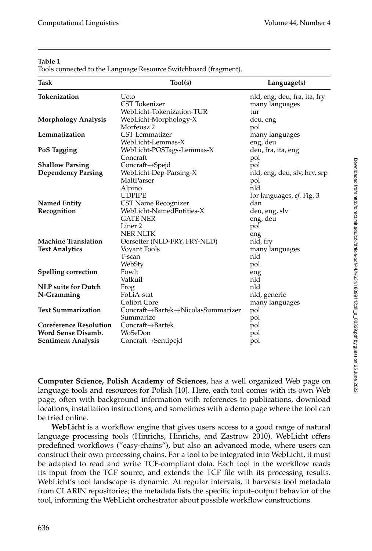#### **Table 1**

<span id="page-5-0"></span>Tools connected to the Language Resource Switchboard (fragment).

| Task                          | Tool(s)                                                      | Language(s)                  |  |
|-------------------------------|--------------------------------------------------------------|------------------------------|--|
| Tokenization                  | Ucto                                                         | nld, eng, deu, fra, ita, fry |  |
|                               | <b>CST</b> Tokenizer                                         | many languages               |  |
|                               | WebLicht-Tokenization-TUR                                    | tur                          |  |
| <b>Morphology Analysis</b>    | WebLicht-Morphology-X                                        | deu, eng                     |  |
|                               | Morfeusz 2                                                   | pol                          |  |
| Lemmatization                 | CST Lemmatizer                                               | many languages               |  |
|                               | WebLicht-Lemmas-X                                            | eng, deu                     |  |
| PoS Tagging                   | WebLicht-POSTags-Lemmas-X                                    | deu, fra, ita, eng           |  |
|                               | Concraft                                                     | pol                          |  |
| <b>Shallow Parsing</b>        | Concraft->Spejd                                              | pol                          |  |
| <b>Dependency Parsing</b>     | WebLicht-Dep-Parsing-X                                       | nld, eng, deu, slv, hrv, srp |  |
|                               | MaltParser                                                   | pol                          |  |
|                               | Alpino                                                       | nld                          |  |
|                               | <b>UDPIPE</b>                                                | for languages, cf. Fig. 3    |  |
| <b>Named Entity</b>           | <b>CST Name Recognizer</b>                                   | dan                          |  |
| Recognition                   | WebLicht-NamedEntities-X                                     | deu, eng, slv                |  |
|                               | <b>GATE NER</b>                                              | eng, deu                     |  |
|                               | Liner <sub>2</sub>                                           | pol                          |  |
|                               | <b>NER NLTK</b>                                              | eng                          |  |
| <b>Machine Translation</b>    | Oersetter (NLD-FRY, FRY-NLD)                                 | nld, fry                     |  |
| <b>Text Analytics</b>         | Voyant Tools                                                 | many languages               |  |
|                               | T-scan                                                       | nld                          |  |
|                               | WebSty                                                       | pol                          |  |
| <b>Spelling correction</b>    | Fowlt                                                        | eng                          |  |
|                               | Valkuil                                                      | nld                          |  |
| <b>NLP</b> suite for Dutch    | Frog                                                         | nld                          |  |
| N-Gramming                    | FoLiA-stat                                                   | nld, generic                 |  |
|                               | Colibri Core                                                 | many languages               |  |
| <b>Text Summarization</b>     | $Concraft \rightarrow Bartek \rightarrow Nicolas Summarizer$ | pol                          |  |
|                               | Summarize                                                    | pol                          |  |
| <b>Coreference Resolution</b> | $Concraft \rightarrow Bartek$                                | pol                          |  |
| Word Sense Disamb.            | WoSeDon                                                      | pol                          |  |
| <b>Sentiment Analysis</b>     | $Concraft \rightarrow$ Sentipejd                             | pol                          |  |

**Computer Science, Polish Academy of Sciences**, has a well organized Web page on language tools and resources for Polish [10]. Here, each tool comes with its own Web page, often with background information with references to publications, download locations, installation instructions, and sometimes with a demo page where the tool can be tried online.

**WebLicht** is a workflow engine that gives users access to a good range of natural language processing tools [\(Hinrichs, Hinrichs, and Zastrow 2010\)](#page-0-1). WebLicht offers predefined workflows ("easy-chains"), but also an advanced mode, where users can construct their own processing chains. For a tool to be integrated into WebLicht, it must be adapted to read and write TCF-compliant data. Each tool in the workflow reads its input from the TCF source, and extends the TCF file with its processing results. WebLicht's tool landscape is dynamic. At regular intervals, it harvests tool metadata from CLARIN repositories; the metadata lists the specific input–output behavior of the tool, informing the WebLicht orchestrator about possible workflow constructions.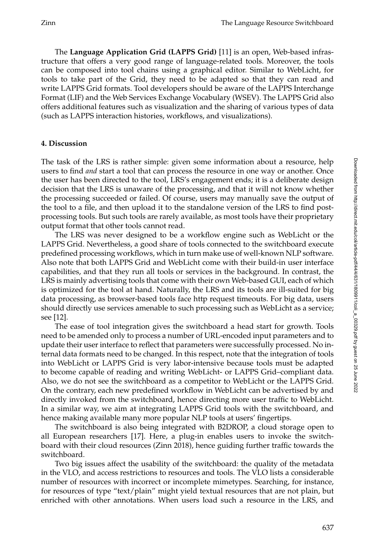The **Language Application Grid (LAPPS Grid)** [11] is an open, Web-based infrastructure that offers a very good range of language-related tools. Moreover, the tools can be composed into tool chains using a graphical editor. Similar to WebLicht, for tools to take part of the Grid, they need to be adapted so that they can read and write LAPPS Grid formats. Tool developers should be aware of the LAPPS Interchange Format (LIF) and the Web Services Exchange Vocabulary (WSEV). The LAPPS Grid also offers additional features such as visualization and the sharing of various types of data (such as LAPPS interaction histories, workflows, and visualizations).

# **4. Discussion**

The task of the LRS is rather simple: given some information about a resource, help users to find *and* start a tool that can process the resource in one way or another. Once the user has been directed to the tool, LRS's engagement ends; it is a deliberate design decision that the LRS is unaware of the processing, and that it will not know whether the processing succeeded or failed. Of course, users may manually save the output of the tool to a file, and then upload it to the standalone version of the LRS to find postprocessing tools. But such tools are rarely available, as most tools have their proprietary output format that other tools cannot read.

The LRS was never designed to be a workflow engine such as WebLicht or the LAPPS Grid. Nevertheless, a good share of tools connected to the switchboard execute predefined processing workflows, which in turn make use of well-known NLP software. Also note that both LAPPS Grid and WebLicht come with their build-in user interface capabilities, and that they run all tools or services in the background. In contrast, the LRS is mainly advertising tools that come with their own Web-based GUI, each of which is optimized for the tool at hand. Naturally, the LRS and its tools are ill-suited for big data processing, as browser-based tools face http request timeouts. For big data, users should directly use services amenable to such processing such as WebLicht as a service; see [12].

The ease of tool integration gives the switchboard a head start for growth. Tools need to be amended only to process a number of URL-encoded input parameters and to update their user interface to reflect that parameters were successfully processed. No internal data formats need to be changed. In this respect, note that the integration of tools into WebLicht or LAPPS Grid is very labor-intensive because tools must be adapted to become capable of reading and writing WebLicht- or LAPPS Grid–compliant data. Also, we do not see the switchboard as a competitor to WebLicht or the LAPPS Grid. On the contrary, each new predefined workflow in WebLicht can be advertised by and directly invoked from the switchboard, hence directing more user traffic to WebLicht. In a similar way, we aim at integrating LAPPS Grid tools with the switchboard, and hence making available many more popular NLP tools at users' fingertips.

The switchboard is also being integrated with B2DROP, a cloud storage open to all European researchers [17]. Here, a plug-in enables users to invoke the switchboard with their cloud resources [\(Zinn 2018\)](#page-0-1), hence guiding further traffic towards the switchboard.

Two big issues affect the usability of the switchboard: the quality of the metadata in the VLO, and access restrictions to resources and tools. The VLO lists a considerable number of resources with incorrect or incomplete mimetypes. Searching, for instance, for resources of type "text/plain" might yield textual resources that are not plain, but enriched with other annotations. When users load such a resource in the LRS, and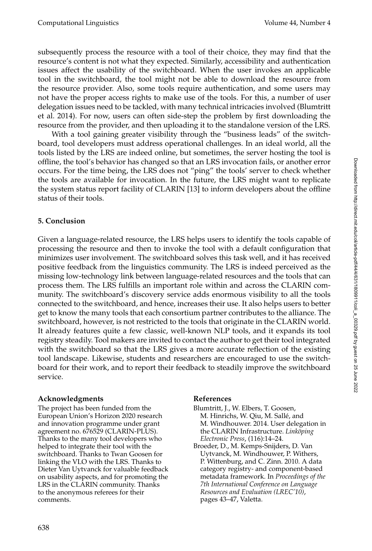subsequently process the resource with a tool of their choice, they may find that the resource's content is not what they expected. Similarly, accessibility and authentication issues affect the usability of the switchboard. When the user invokes an applicable tool in the switchboard, the tool might not be able to download the resource from the resource provider. Also, some tools require authentication, and some users may not have the proper access rights to make use of the tools. For this, a number of user delegation issues need to be tackled, with many technical intricacies involved [\(Blumtritt](#page-0-1) [et al. 2014\)](#page-0-1). For now, users can often side-step the problem by first downloading the resource from the provider, and then uploading it to the standalone version of the LRS.

With a tool gaining greater visibility through the "business leads" of the switchboard, tool developers must address operational challenges. In an ideal world, all the tools listed by the LRS are indeed online, but sometimes, the server hosting the tool is offline, the tool's behavior has changed so that an LRS invocation fails, or another error occurs. For the time being, the LRS does not "ping" the tools' server to check whether the tools are available for invocation. In the future, the LRS might want to replicate the system status report facility of CLARIN [13] to inform developers about the offline status of their tools.

## **5. Conclusion**

Given a language-related resource, the LRS helps users to identify the tools capable of processing the resource and then to invoke the tool with a default configuration that minimizes user involvement. The switchboard solves this task well, and it has received positive feedback from the linguistics community. The LRS is indeed perceived as the missing low-technology link between language-related resources and the tools that can process them. The LRS fulfills an important role within and across the CLARIN community. The switchboard's discovery service adds enormous visibility to all the tools connected to the switchboard, and hence, increases their use. It also helps users to better get to know the many tools that each consortium partner contributes to the alliance. The switchboard, however, is not restricted to the tools that originate in the CLARIN world. It already features quite a few classic, well-known NLP tools, and it expands its tool registry steadily. Tool makers are invited to contact the author to get their tool integrated with the switchboard so that the LRS gives a more accurate reflection of the existing tool landscape. Likewise, students and researchers are encouraged to use the switchboard for their work, and to report their feedback to steadily improve the switchboard service.

### **Acknowledgments**

The project has been funded from the European Union's Horizon 2020 research and innovation programme under grant agreement no. 676529 (CLARIN-PLUS). Thanks to the many tool developers who helped to integrate their tool with the switchboard. Thanks to Twan Goosen for linking the VLO with the LRS. Thanks to Dieter Van Uytvanck for valuable feedback on usability aspects, and for promoting the LRS in the CLARIN community. Thanks to the anonymous referees for their comments.

### **References**

- Blumtritt, J., W. Elbers, T. Goosen, M. Hinrichs, W. Qiu, M. Sallé, and M. Windhouwer. 2014. User delegation in the CLARIN Infrastructure. *Linköping Electronic Press*, (116):14–24.
- Broeder, D., M. Kemps-Snijders, D. Van Uytvanck, M. Windhouwer, P. Withers, P. Wittenburg, and C. Zinn. 2010. A data category registry- and component-based metadata framework. In *Proceedings of the 7th International Conference on Language Resources and Evaluation (LREC'10)*, pages 43–47, Valetta.

Downloaded from http://direct.mit.edu/coli/article-pdf/44/4/631/1809911/coli\_a\_00329.pdf by guest on 25 June 2022 Downloaded from http://direct.mit.edu/coli/article-pdf/44/4/631/1809911/coli\_a\_00329.pdf by guest on 25 June 2022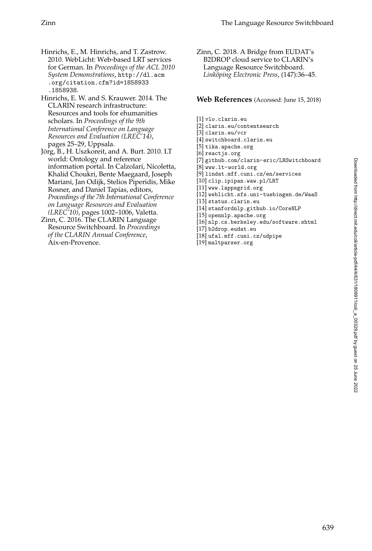- Hinrichs, E., M. Hinrichs, and T. Zastrow. 2010. WebLicht: Web-based LRT services for German. In *Proceedings of the ACL 2010 System Demonstrations*, [http://dl.acm](http://dl.acm.org/citation.cfm?id=1858933.1858938) [.org/citation.cfm?id=1858933](http://dl.acm.org/citation.cfm?id=1858933.1858938) [.1858938](http://dl.acm.org/citation.cfm?id=1858933.1858938).
- Hinrichs, E. W. and S. Krauwer. 2014. The CLARIN research infrastructure: Resources and tools for ehumanities scholars. In *Proceedings of the 9th International Conference on Language Resources and Evaluation (LREC'14)*, pages 25–29, Uppsala.
- Jörg, B., H. Uszkoreit, and A. Burt. 2010. LT world: Ontology and reference information portal. In Calzolari, Nicoletta, Khalid Choukri, Bente Maegaard, Joseph Mariani, Jan Odijk, Stelios Piperidis, Mike Rosner, and Daniel Tapias, editors, *Proceedings of the 7th International Conference on Language Resources and Evaluation (LREC'10)*, pages 1002–1006, Valetta.
- Zinn, C. 2016. The CLARIN Language Resource Switchboard. In *Proceedings of the CLARIN Annual Conference*, Aix-en-Provence.

Zinn, C. 2018. A Bridge from EUDAT's B2DROP cloud service to CLARIN's Language Resource Switchboard. *Link¨oping Electronic Press*, (147):36–45.

#### **Web References** (Accessed: June 15, 2018)

[1] <vlo.clarin.eu> [2] <clarin.eu/contentsearch> [3] <clarin.eu/vcr> [4] <switchboard.clarin.eu> [5] <tika.apache.org> [6] <reactjs.org> [7] <github.com/clarin-eric/LRSwitchboard> [8] <www.lt-world.org> [9] <lindat.mff.cuni.cz/en/services> [10] <clip.ipipan.waw.pl/LRT> [11] <www.lappsgrid.org> [12] <weblicht.sfs.uni-tuebingen.de/WaaS> [13] <status.clarin.eu> [14] <stanfordnlp.github.io/CoreNLP> [15] <opennlp.apache.org> [16] <nlp.cs.berkeley.edu/software.shtml> [17] <b2drop.eudat.eu> [18] <ufal.mff.cuni.cz/udpipe> [19] <maltparser.org>